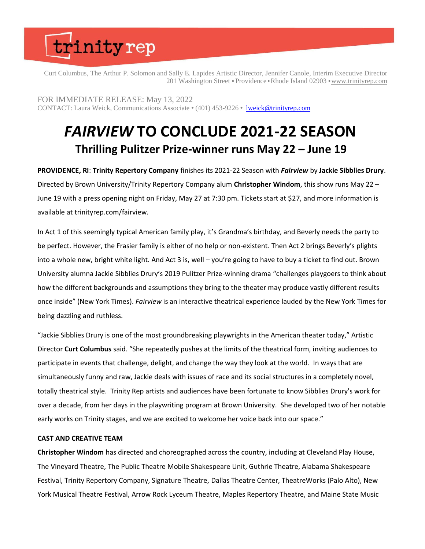Curt Columbus, The Arthur P. Solomon and Sally E. Lapides Artistic Director, Jennifer Canole, Interim Executive Director 201 Washington Street • Providence • Rhode Island 02903 • www.trinityrep.com

FOR IMMEDIATE RELEASE: May 13, 2022 CONTACT: Laura Weick, Communications Associate ⬣ (401) 453-9226 ⬣ lweick@trinityrep.com

### *FAIRVIEW* **TO CONCLUDE 2021-22 SEASON Thrilling Pulitzer Prize-winner runs May 22 – June 19**

**PROVIDENCE, RI**: **Trinity Repertory Company** finishes its 2021-22 Season with *Fairview* by **Jackie Sibblies Drury**. Directed by Brown University/Trinity Repertory Company alum **Christopher Windom**, this show runs May 22 – June 19 with a press opening night on Friday, May 27 at 7:30 pm. Tickets start at \$27, and more information is available at trinityrep.com/fairview.

In Act 1 of this seemingly typical American family play, it's Grandma's birthday, and Beverly needs the party to be perfect. However, the Frasier family is either of no help or non-existent. Then Act 2 brings Beverly's plights into a whole new, bright white light. And Act 3 is, well – you're going to have to buy a ticket to find out. Brown University alumna Jackie Sibblies Drury's 2019 Pulitzer Prize-winning drama "challenges playgoers to think about how the different backgrounds and assumptions they bring to the theater may produce vastly different results once inside" (New York Times). *Fairview* is an interactive theatrical experience lauded by the New York Times for being dazzling and ruthless.

"Jackie Sibblies Drury is one of the most groundbreaking playwrights in the American theater today," Artistic Director **Curt Columbus** said. "She repeatedly pushes at the limits of the theatrical form, inviting audiences to participate in events that challenge, delight, and change the way they look at the world. In ways that are simultaneously funny and raw, Jackie deals with issues of race and its social structures in a completely novel, totally theatrical style. Trinity Rep artists and audiences have been fortunate to know Sibblies Drury's work for over a decade, from her days in the playwriting program at Brown University. She developed two of her notable early works on Trinity stages, and we are excited to welcome her voice back into our space."

### **CAST AND CREATIVE TEAM**

**Christopher Windom** has directed and choreographed across the country, including at Cleveland Play House, The Vineyard Theatre, The Public Theatre Mobile Shakespeare Unit, Guthrie Theatre, Alabama Shakespeare Festival, Trinity Repertory Company, Signature Theatre, Dallas Theatre Center, TheatreWorks (Palo Alto), New York Musical Theatre Festival, Arrow Rock Lyceum Theatre, Maples Repertory Theatre, and Maine State Music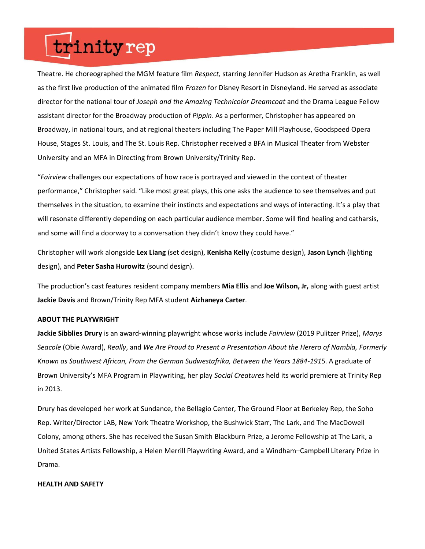Theatre. He choreographed the MGM feature film *Respect,* starring Jennifer Hudson as Aretha Franklin, as well as the first live production of the animated film *Frozen* for Disney Resort in Disneyland. He served as associate director for the national tour of *Joseph and the Amazing Technicolor Dreamcoat* and the Drama League Fellow assistant director for the Broadway production of *Pippin*. As a performer, Christopher has appeared on Broadway, in national tours, and at regional theaters including The Paper Mill Playhouse, Goodspeed Opera House, Stages St. Louis, and The St. Louis Rep. Christopher received a BFA in Musical Theater from Webster University and an MFA in Directing from Brown University/Trinity Rep.

"*Fairview* challenges our expectations of how race is portrayed and viewed in the context of theater performance," Christopher said. "Like most great plays, this one asks the audience to see themselves and put themselves in the situation, to examine their instincts and expectations and ways of interacting. It's a play that will resonate differently depending on each particular audience member. Some will find healing and catharsis, and some will find a doorway to a conversation they didn't know they could have."

Christopher will work alongside **Lex Liang** (set design), **Kenisha Kelly** (costume design), **Jason Lynch** (lighting design), and **Peter Sasha Hurowitz** (sound design).

The production's cast features resident company members **Mia Ellis** and **Joe Wilson, Jr,** along with guest artist **Jackie Davis** and Brown/Trinity Rep MFA student **Aizhaneya Carter**.

#### **ABOUT THE PLAYWRIGHT**

**Jackie Sibblies Drury** is an award-winning playwright whose works include *Fairview* (2019 Pulitzer Prize), *Marys Seacole* (Obie Award), *Really*, and *We Are Proud to Present a Presentation About the Herero of Nambia, Formerly Known as Southwest African, From the German Sudwestafrika, Between the Years 1884-191*5. A graduate of Brown University's MFA Program in Playwriting, her play *Social Creatures* held its world premiere at Trinity Rep in 2013.

Drury has developed her work at Sundance, the Bellagio Center, The Ground Floor at Berkeley Rep, the Soho Rep. Writer/Director LAB, New York Theatre Workshop, the Bushwick Starr, The Lark, and The MacDowell Colony, among others. She has received the Susan Smith Blackburn Prize, a Jerome Fellowship at The Lark, a United States Artists Fellowship, a Helen Merrill Playwriting Award, and a Windham–Campbell Literary Prize in Drama.

#### **HEALTH AND SAFETY**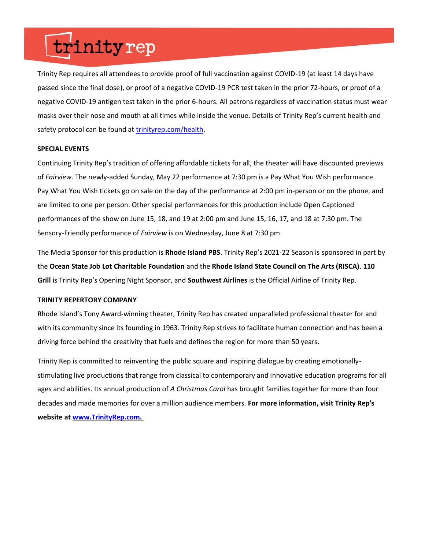Trinity Rep requires all attendees to provide proof of full vaccination against COVID-19 (at least 14 days have passed since the final dose), or proof of a negative COVID-19 PCR test taken in the prior 72-hours, or proof of a negative COVID-19 antigen test taken in the prior 6-hours. All patrons regardless of vaccination status must wear masks over their nose and mouth at all times while inside the venue. Details of Trinity Rep's current health and safety protocol can be found at trinityrep.com/health.

### **SPECIAL EVENTS**

Continuing Trinity Rep's tradition of offering affordable tickets for all, the theater will have discounted previews of *Fairview*. The newly-added Sunday, May 22 performance at 7:30 pm is a Pay What You Wish performance. Pay What You Wish tickets go on sale on the day of the performance at 2:00 pm in-person or on the phone, and are limited to one per person. Other special performances for this production include Open Captioned performances of the show on June 15, 18, and 19 at 2:00 pm and June 15, 16, 17, and 18 at 7:30 pm. The Sensory-Friendly performance of *Fairview* is on Wednesday, June 8 at 7:30 pm.

The Media Sponsor for this production is **Rhode Island PBS**. Trinity Rep's 2021-22 Season is sponsored in part by the **Ocean State Job Lot Charitable Foundation** and the **Rhode Island State Council on The Arts (RISCA)**. **110 Grill** is Trinity Rep's Opening Night Sponsor, and **Southwest Airlines** is the Official Airline of Trinity Rep.

### **TRINITY REPERTORY COMPANY**

Rhode Island's Tony Award-winning theater, Trinity Rep has created unparalleled professional theater for and with its community since its founding in 1963. Trinity Rep strives to facilitate human connection and has been a driving force behind the creativity that fuels and defines the region for more than 50 years.

Trinity Rep is committed to reinventing the public square and inspiring dialogue by creating emotionallystimulating live productions that range from classical to contemporary and innovative education programs for all ages and abilities. Its annual production of *A Christmas Carol* has brought families together for more than four decades and made memories for over a million audience members. **For more information, visit Trinity Rep's website at www.TrinityRep.com.**